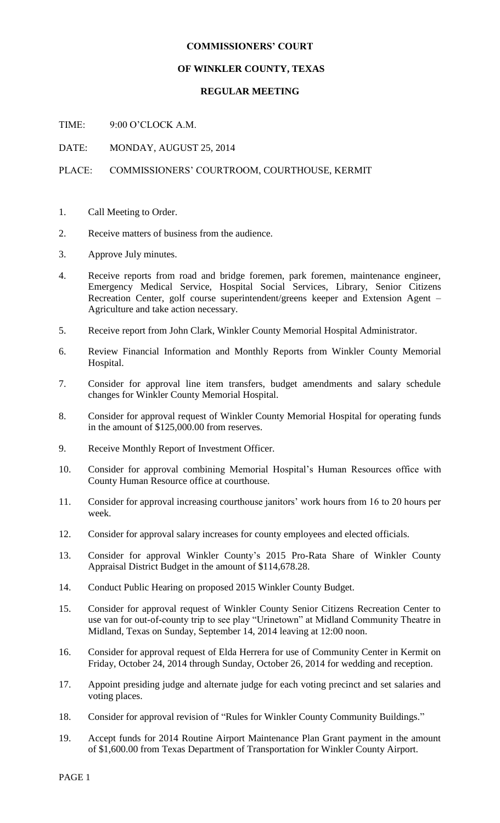## **COMMISSIONERS' COURT**

## **OF WINKLER COUNTY, TEXAS**

## **REGULAR MEETING**

TIME: 9:00 O'CLOCK A.M.

DATE: MONDAY, AUGUST 25, 2014

## PLACE: COMMISSIONERS' COURTROOM, COURTHOUSE, KERMIT

- 1. Call Meeting to Order.
- 2. Receive matters of business from the audience.
- 3. Approve July minutes.
- 4. Receive reports from road and bridge foremen, park foremen, maintenance engineer, Emergency Medical Service, Hospital Social Services, Library, Senior Citizens Recreation Center, golf course superintendent/greens keeper and Extension Agent – Agriculture and take action necessary.
- 5. Receive report from John Clark, Winkler County Memorial Hospital Administrator.
- 6. Review Financial Information and Monthly Reports from Winkler County Memorial Hospital.
- 7. Consider for approval line item transfers, budget amendments and salary schedule changes for Winkler County Memorial Hospital.
- 8. Consider for approval request of Winkler County Memorial Hospital for operating funds in the amount of \$125,000.00 from reserves.
- 9. Receive Monthly Report of Investment Officer.
- 10. Consider for approval combining Memorial Hospital's Human Resources office with County Human Resource office at courthouse.
- 11. Consider for approval increasing courthouse janitors' work hours from 16 to 20 hours per week.
- 12. Consider for approval salary increases for county employees and elected officials.
- 13. Consider for approval Winkler County's 2015 Pro-Rata Share of Winkler County Appraisal District Budget in the amount of \$114,678.28.
- 14. Conduct Public Hearing on proposed 2015 Winkler County Budget.
- 15. Consider for approval request of Winkler County Senior Citizens Recreation Center to use van for out-of-county trip to see play "Urinetown" at Midland Community Theatre in Midland, Texas on Sunday, September 14, 2014 leaving at 12:00 noon.
- 16. Consider for approval request of Elda Herrera for use of Community Center in Kermit on Friday, October 24, 2014 through Sunday, October 26, 2014 for wedding and reception.
- 17. Appoint presiding judge and alternate judge for each voting precinct and set salaries and voting places.
- 18. Consider for approval revision of "Rules for Winkler County Community Buildings."
- 19. Accept funds for 2014 Routine Airport Maintenance Plan Grant payment in the amount of \$1,600.00 from Texas Department of Transportation for Winkler County Airport.

PAGE 1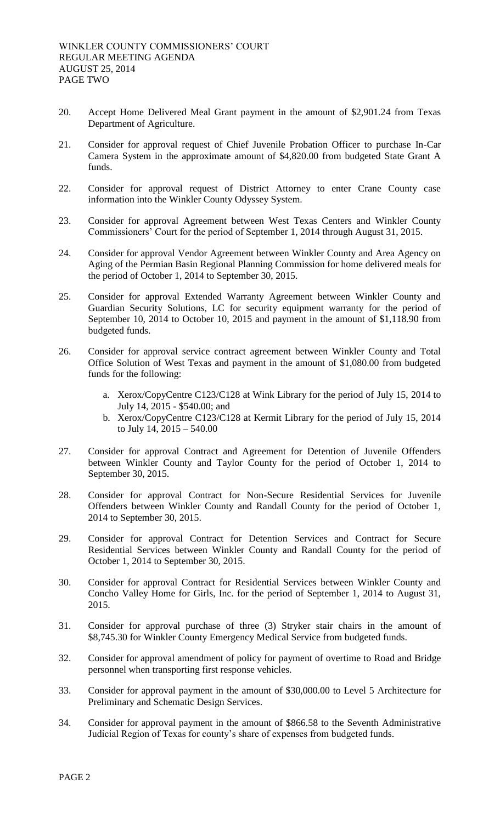- 20. Accept Home Delivered Meal Grant payment in the amount of \$2,901.24 from Texas Department of Agriculture.
- 21. Consider for approval request of Chief Juvenile Probation Officer to purchase In-Car Camera System in the approximate amount of \$4,820.00 from budgeted State Grant A funds.
- 22. Consider for approval request of District Attorney to enter Crane County case information into the Winkler County Odyssey System.
- 23. Consider for approval Agreement between West Texas Centers and Winkler County Commissioners' Court for the period of September 1, 2014 through August 31, 2015.
- 24. Consider for approval Vendor Agreement between Winkler County and Area Agency on Aging of the Permian Basin Regional Planning Commission for home delivered meals for the period of October 1, 2014 to September 30, 2015.
- 25. Consider for approval Extended Warranty Agreement between Winkler County and Guardian Security Solutions, LC for security equipment warranty for the period of September 10, 2014 to October 10, 2015 and payment in the amount of \$1,118.90 from budgeted funds.
- 26. Consider for approval service contract agreement between Winkler County and Total Office Solution of West Texas and payment in the amount of \$1,080.00 from budgeted funds for the following:
	- a. Xerox/CopyCentre C123/C128 at Wink Library for the period of July 15, 2014 to July 14, 2015 - \$540.00; and
	- b. Xerox/CopyCentre C123/C128 at Kermit Library for the period of July 15, 2014 to July 14, 2015 – 540.00
- 27. Consider for approval Contract and Agreement for Detention of Juvenile Offenders between Winkler County and Taylor County for the period of October 1, 2014 to September 30, 2015.
- 28. Consider for approval Contract for Non-Secure Residential Services for Juvenile Offenders between Winkler County and Randall County for the period of October 1, 2014 to September 30, 2015.
- 29. Consider for approval Contract for Detention Services and Contract for Secure Residential Services between Winkler County and Randall County for the period of October 1, 2014 to September 30, 2015.
- 30. Consider for approval Contract for Residential Services between Winkler County and Concho Valley Home for Girls, Inc. for the period of September 1, 2014 to August 31, 2015.
- 31. Consider for approval purchase of three (3) Stryker stair chairs in the amount of \$8,745.30 for Winkler County Emergency Medical Service from budgeted funds.
- 32. Consider for approval amendment of policy for payment of overtime to Road and Bridge personnel when transporting first response vehicles.
- 33. Consider for approval payment in the amount of \$30,000.00 to Level 5 Architecture for Preliminary and Schematic Design Services.
- 34. Consider for approval payment in the amount of \$866.58 to the Seventh Administrative Judicial Region of Texas for county's share of expenses from budgeted funds.